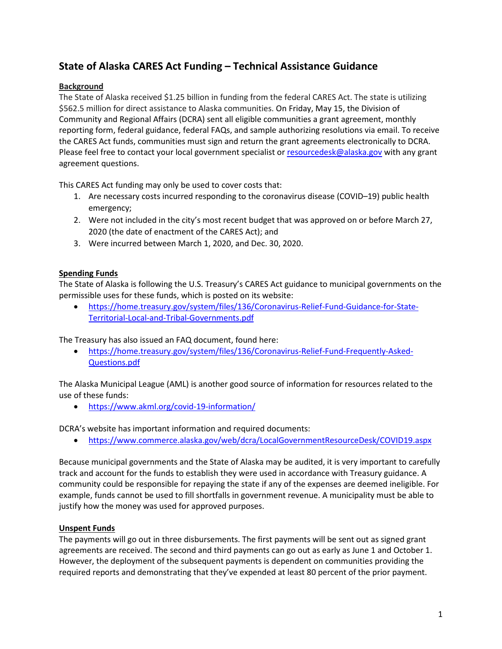# **State of Alaska CARES Act Funding – Technical Assistance Guidance**

## **Background**

The State of Alaska received \$1.25 billion in funding from the federal CARES Act. The state is utilizing \$562.5 million for direct assistance to Alaska communities. On Friday, May 15, the Division of Community and Regional Affairs (DCRA) sent all eligible communities a grant agreement, monthly reporting form, federal guidance, federal FAQs, and sample authorizing resolutions via email. To receive the CARES Act funds, communities must sign and return the grant agreements electronically to DCRA. Please feel free to contact your local government specialist or [resourcedesk@alaska.gov](mailto:resourcedesk@alaska.gov) with any grant agreement questions.

This CARES Act funding may only be used to cover costs that:

- 1. Are necessary costs incurred responding to the coronavirus disease (COVID–19) public health emergency;
- 2. Were not included in the city's most recent budget that was approved on or before March 27, 2020 (the date of enactment of the CARES Act); and
- 3. Were incurred between March 1, 2020, and Dec. 30, 2020.

### **Spending Funds**

The State of Alaska is following the U.S. Treasury's CARES Act guidance to municipal governments on the permissible uses for these funds, which is posted on its website:

• [https://home.treasury.gov/system/files/136/Coronavirus-Relief-Fund-Guidance-for-State-](https://home.treasury.gov/system/files/136/Coronavirus-Relief-Fund-Guidance-for-State-Territorial-Local-and-Tribal-Governments.pdf)[Territorial-Local-and-Tribal-Governments.pdf](https://home.treasury.gov/system/files/136/Coronavirus-Relief-Fund-Guidance-for-State-Territorial-Local-and-Tribal-Governments.pdf)

The Treasury has also issued an FAQ document, found here:

• [https://home.treasury.gov/system/files/136/Coronavirus-Relief-Fund-Frequently-Asked-](https://home.treasury.gov/system/files/136/Coronavirus-Relief-Fund-Frequently-Asked-Questions.pdf)[Questions.pdf](https://home.treasury.gov/system/files/136/Coronavirus-Relief-Fund-Frequently-Asked-Questions.pdf)

The Alaska Municipal League (AML) is another good source of information for resources related to the use of these funds:

• <https://www.akml.org/covid-19-information/>

DCRA's website has important information and required documents:

• <https://www.commerce.alaska.gov/web/dcra/LocalGovernmentResourceDesk/COVID19.aspx>

Because municipal governments and the State of Alaska may be audited, it is very important to carefully track and account for the funds to establish they were used in accordance with Treasury guidance. A community could be responsible for repaying the state if any of the expenses are deemed ineligible. For example, funds cannot be used to fill shortfalls in government revenue. A municipality must be able to justify how the money was used for approved purposes.

### **Unspent Funds**

The payments will go out in three disbursements. The first payments will be sent out as signed grant agreements are received. The second and third payments can go out as early as June 1 and October 1. However, the deployment of the subsequent payments is dependent on communities providing the required reports and demonstrating that they've expended at least 80 percent of the prior payment.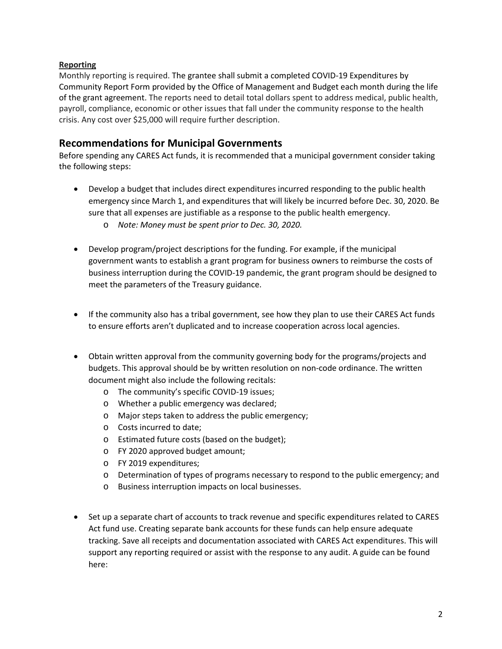### **Reporting**

Monthly reporting is required. The grantee shall submit a completed COVID-19 Expenditures by Community Report Form provided by the Office of Management and Budget each month during the life of the grant agreement. The reports need to detail total dollars spent to address medical, public health, payroll, compliance, economic or other issues that fall under the community response to the health crisis. Any cost over \$25,000 will require further description.

## **Recommendations for Municipal Governments**

Before spending any CARES Act funds, it is recommended that a municipal government consider taking the following steps:

- Develop a budget that includes direct expenditures incurred responding to the public health emergency since March 1, and expenditures that will likely be incurred before Dec. 30, 2020. Be sure that all expenses are justifiable as a response to the public health emergency.
	- o *Note: Money must be spent prior to Dec. 30, 2020.*
- Develop program/project descriptions for the funding. For example, if the municipal government wants to establish a grant program for business owners to reimburse the costs of business interruption during the COVID-19 pandemic, the grant program should be designed to meet the parameters of the Treasury guidance.
- If the community also has a tribal government, see how they plan to use their CARES Act funds to ensure efforts aren't duplicated and to increase cooperation across local agencies.
- Obtain written approval from the community governing body for the programs/projects and budgets. This approval should be by written resolution on non-code ordinance. The written document might also include the following recitals:
	- o The community's specific COVID-19 issues;
	- o Whether a public emergency was declared;
	- o Major steps taken to address the public emergency;
	- o Costs incurred to date;
	- o Estimated future costs (based on the budget);
	- o FY 2020 approved budget amount;
	- o FY 2019 expenditures;
	- o Determination of types of programs necessary to respond to the public emergency; and
	- o Business interruption impacts on local businesses.
- Set up a separate chart of accounts to track revenue and specific expenditures related to CARES Act fund use. Creating separate bank accounts for these funds can help ensure adequate tracking. Save all receipts and documentation associated with CARES Act expenditures. This will support any reporting required or assist with the response to any audit. A guide can be found here: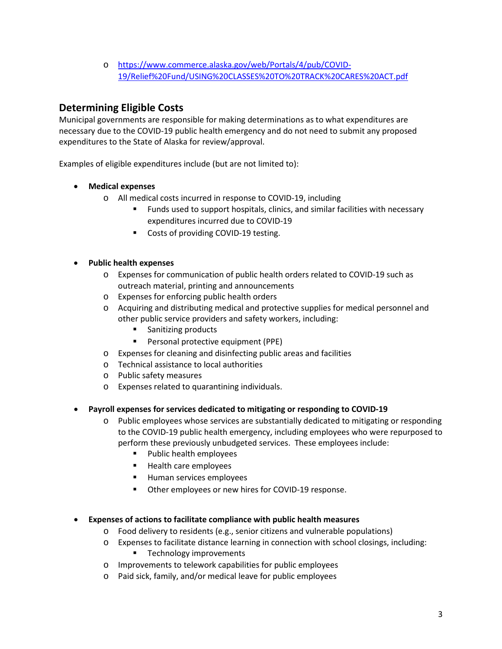o [https://www.commerce.alaska.gov/web/Portals/4/pub/COVID-](https://www.commerce.alaska.gov/web/Portals/4/pub/COVID-19/Relief%20Fund/USING%20CLASSES%20TO%20TRACK%20CARES%20ACT.pdf)[19/Relief%20Fund/USING%20CLASSES%20TO%20TRACK%20CARES%20ACT.pdf](https://www.commerce.alaska.gov/web/Portals/4/pub/COVID-19/Relief%20Fund/USING%20CLASSES%20TO%20TRACK%20CARES%20ACT.pdf)

# **Determining Eligible Costs**

Municipal governments are responsible for making determinations as to what expenditures are necessary due to the COVID-19 public health emergency and do not need to submit any proposed expenditures to the State of Alaska for review/approval.

Examples of eligible expenditures include (but are not limited to):

- **Medical expenses**
	- o All medical costs incurred in response to COVID-19, including
		- Funds used to support hospitals, clinics, and similar facilities with necessary expenditures incurred due to COVID-19
		- **Costs of providing COVID-19 testing.**

### • **Public health expenses**

- o Expenses for communication of public health orders related to COVID-19 such as outreach material, printing and announcements
- o Expenses for enforcing public health orders
- o Acquiring and distributing medical and protective supplies for medical personnel and other public service providers and safety workers, including:
	- Sanitizing products
	- **Personal protective equipment (PPE)**
- o Expenses for cleaning and disinfecting public areas and facilities
- o Technical assistance to local authorities
- o Public safety measures
- o Expenses related to quarantining individuals.
- **Payroll expenses for services dedicated to mitigating or responding to COVID-19** 
	- o Public employees whose services are substantially dedicated to mitigating or responding to the COVID-19 public health emergency, including employees who were repurposed to perform these previously unbudgeted services. These employees include:
		- Public health employees
		- **Health care employees**
		- **Human services employees**
		- **•** Other employees or new hires for COVID-19 response.

#### • **Expenses of actions to facilitate compliance with public health measures**

- o Food delivery to residents (e.g., senior citizens and vulnerable populations)
- o Expenses to facilitate distance learning in connection with school closings, including: **Technology improvements**
- o Improvements to telework capabilities for public employees
- o Paid sick, family, and/or medical leave for public employees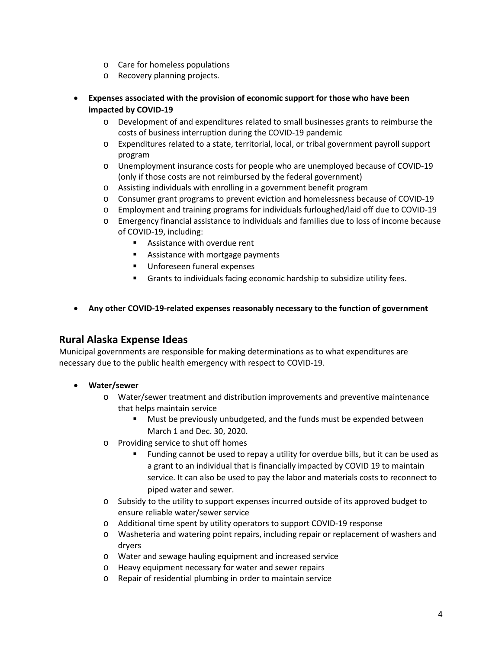- o Care for homeless populations
- o Recovery planning projects.
- **Expenses associated with the provision of economic support for those who have been impacted by COVID-19**
	- o Development of and expenditures related to small businesses grants to reimburse the costs of business interruption during the COVID-19 pandemic
	- o Expenditures related to a state, territorial, local, or tribal government payroll support program
	- o Unemployment insurance costs for people who are unemployed because of COVID-19 (only if those costs are not reimbursed by the federal government)
	- o Assisting individuals with enrolling in a government benefit program
	- o Consumer grant programs to prevent eviction and homelessness because of COVID-19
	- o Employment and training programs for individuals furloughed/laid off due to COVID-19
	- o Emergency financial assistance to individuals and families due to loss of income because of COVID-19, including:
		- **Assistance with overdue rent**
		- **Assistance with mortgage payments**
		- **Unforeseen funeral expenses**
		- Grants to individuals facing economic hardship to subsidize utility fees.
- **Any other COVID-19-related expenses reasonably necessary to the function of government**

## **Rural Alaska Expense Ideas**

Municipal governments are responsible for making determinations as to what expenditures are necessary due to the public health emergency with respect to COVID-19.

- **Water/sewer**
	- o Water/sewer treatment and distribution improvements and preventive maintenance that helps maintain service
		- Must be previously unbudgeted, and the funds must be expended between March 1 and Dec. 30, 2020.
	- o Providing service to shut off homes
		- Funding cannot be used to repay a utility for overdue bills, but it can be used as a grant to an individual that is financially impacted by COVID 19 to maintain service. It can also be used to pay the labor and materials costs to reconnect to piped water and sewer.
	- o Subsidy to the utility to support expenses incurred outside of its approved budget to ensure reliable water/sewer service
	- o Additional time spent by utility operators to support COVID-19 response
	- o Washeteria and watering point repairs, including repair or replacement of washers and dryers
	- o Water and sewage hauling equipment and increased service
	- o Heavy equipment necessary for water and sewer repairs
	- o Repair of residential plumbing in order to maintain service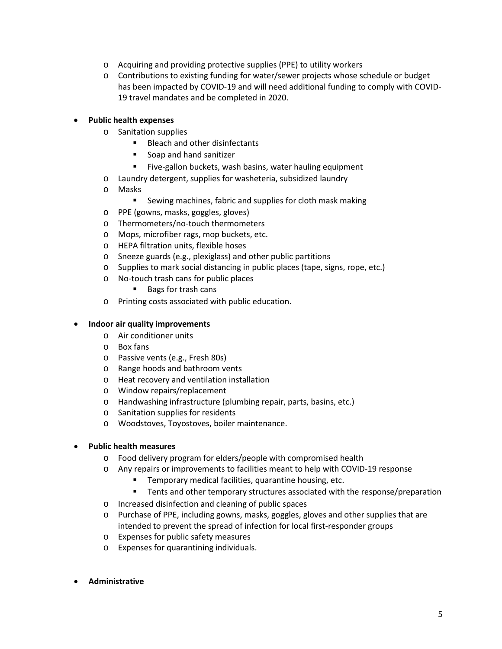- o Acquiring and providing protective supplies (PPE) to utility workers
- o Contributions to existing funding for water/sewer projects whose schedule or budget has been impacted by COVID-19 and will need additional funding to comply with COVID-19 travel mandates and be completed in 2020.

### • **Public health expenses**

- o Sanitation supplies
	- Bleach and other disinfectants
	- Soap and hand sanitizer
	- **Five-gallon buckets, wash basins, water hauling equipment**
- o Laundry detergent, supplies for washeteria, subsidized laundry
- o Masks
	- Sewing machines, fabric and supplies for cloth mask making
- o PPE (gowns, masks, goggles, gloves)
- o Thermometers/no-touch thermometers
- o Mops, microfiber rags, mop buckets, etc.
- o HEPA filtration units, flexible hoses
- o Sneeze guards (e.g., plexiglass) and other public partitions
- o Supplies to mark social distancing in public places (tape, signs, rope, etc.)
- o No-touch trash cans for public places
	- Bags for trash cans
- o Printing costs associated with public education.

#### • **Indoor air quality improvements**

- o Air conditioner units
- o Box fans
- o Passive vents (e.g., Fresh 80s)
- o Range hoods and bathroom vents
- o Heat recovery and ventilation installation
- o Window repairs/replacement
- o Handwashing infrastructure (plumbing repair, parts, basins, etc.)
- o Sanitation supplies for residents
- o Woodstoves, Toyostoves, boiler maintenance.
- **Public health measures** 
	- o Food delivery program for elders/people with compromised health
	- o Any repairs or improvements to facilities meant to help with COVID-19 response
		- **Temporary medical facilities, quarantine housing, etc.**
		- Tents and other temporary structures associated with the response/preparation
	- o Increased disinfection and cleaning of public spaces
	- o Purchase of PPE, including gowns, masks, goggles, gloves and other supplies that are intended to prevent the spread of infection for local first-responder groups
	- o Expenses for public safety measures
	- o Expenses for quarantining individuals.
- **Administrative**